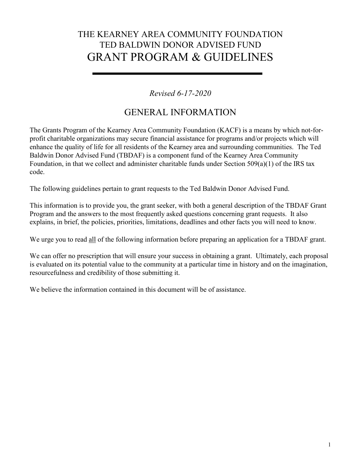# THE KEARNEY AREA COMMUNITY FOUNDATION TED BALDWIN DONOR ADVISED FUND GRANT PROGRAM & GUIDELINES

#### *Revised 6-17-2020*

## GENERAL INFORMATION

The Grants Program of the Kearney Area Community Foundation (KACF) is a means by which not-forprofit charitable organizations may secure financial assistance for programs and/or projects which will enhance the quality of life for all residents of the Kearney area and surrounding communities. The Ted Baldwin Donor Advised Fund (TBDAF) is a component fund of the Kearney Area Community Foundation, in that we collect and administer charitable funds under Section 509(a)(1) of the IRS tax code.

The following guidelines pertain to grant requests to the Ted Baldwin Donor Advised Fund.

This information is to provide you, the grant seeker, with both a general description of the TBDAF Grant Program and the answers to the most frequently asked questions concerning grant requests. It also explains, in brief, the policies, priorities, limitations, deadlines and other facts you will need to know.

We urge you to read all of the following information before preparing an application for a TBDAF grant.

We can offer no prescription that will ensure your success in obtaining a grant. Ultimately, each proposal is evaluated on its potential value to the community at a particular time in history and on the imagination, resourcefulness and credibility of those submitting it.

We believe the information contained in this document will be of assistance.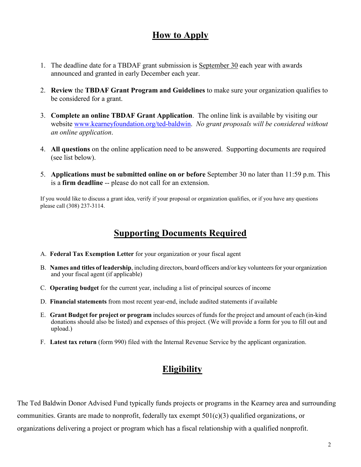### **How to Apply**

- 1. The deadline date for a TBDAF grant submission is September 30 each year with awards announced and granted in early December each year.
- 2. **Review** the **TBDAF Grant Program and Guidelines** to make sure your organization qualifies to be considered for a grant.
- 3. **Complete an online TBDAF Grant Application**. The online link is available by visiting our website [www.kearneyfoundation.org/ted-baldwin.](http://www.kearneyfoundation.org/ted-baldwin) *No grant proposals will be considered without an online application*.
- 4. **All questions** on the online application need to be answered. Supporting documents are required (see list below).
- 5. **Applications must be submitted online on or before** September 30 no later than 11:59 p.m. This is a **firm deadline** -- please do not call for an extension.

If you would like to discuss a grant idea, verify if your proposal or organization qualifies, or if you have any questions please call (308) 237-3114.

#### **Supporting Documents Required**

- A. **Federal Tax Exemption Letter** for your organization or your fiscal agent
- B. **Names and titles of leadership**, including directors, board officers and/or key volunteers for your organization and your fiscal agent (if applicable)
- C. **Operating budget** for the current year, including a list of principal sources of income
- D. **Financial statements** from most recent year-end, include audited statements if available
- E. **Grant Budget for project or program** includes sources of funds for the project and amount of each (in-kind donations should also be listed) and expenses of this project. (We will provide a form for you to fill out and upload.)
- F. **Latest tax return** (form 990) filed with the Internal Revenue Service by the applicant organization.

### **Eligibility**

The Ted Baldwin Donor Advised Fund typically funds projects or programs in the Kearney area and surrounding communities. Grants are made to nonprofit, federally tax exempt  $501(c)(3)$  qualified organizations, or organizations delivering a project or program which has a fiscal relationship with a qualified nonprofit.